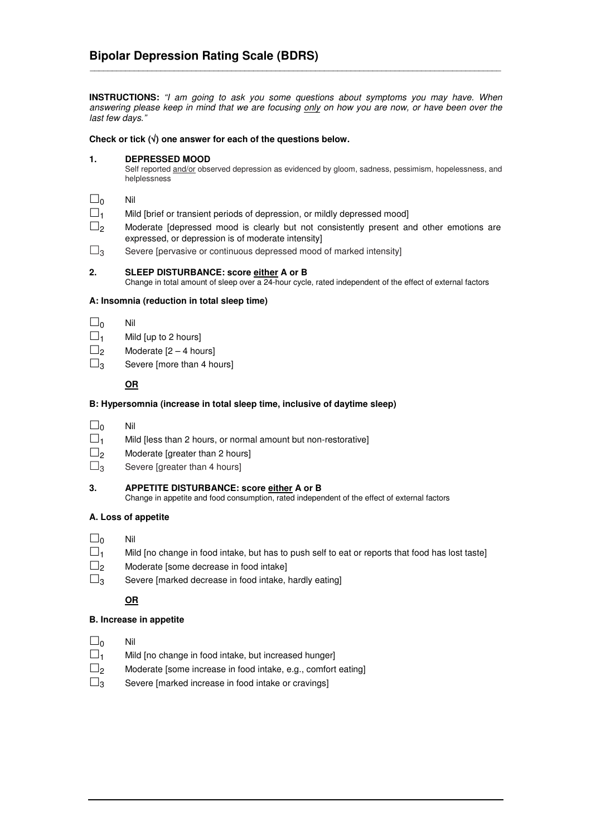**INSTRUCTIONS:** *"I am going to ask you some questions about symptoms you may have. When* answering please keep in mind that we are focusing only on how you are now, or have been over the *last few days."*

\_\_\_\_\_\_\_\_\_\_\_\_\_\_\_\_\_\_\_\_\_\_\_\_\_\_\_\_\_\_\_\_\_\_\_\_\_\_\_\_\_\_\_\_\_\_\_\_\_\_\_\_\_\_\_\_\_\_\_\_\_\_\_\_\_\_\_\_\_\_\_\_\_\_\_\_\_\_\_\_\_\_\_\_\_\_\_\_\_\_\_\_\_

### **Check or tick (**√**) one answer for each of the questions below.**

### **1. DEPRESSED MOOD**

Self reported and/or observed depression as evidenced by gloom, sadness, pessimism, hopelessness, and helplessness

- 
- $\square_0$  Nil<br> $\square_1$  Mil Mild [brief or transient periods of depression, or mildly depressed mood]
- $\square_2$  Moderate [depressed mood is clearly but not consistently present and other emotions are expressed, or depression is of moderate intensity]
- $\square$ <sub>3</sub> Severe [pervasive or continuous depressed mood of marked intensity]

#### **2. SLEEP DISTURBANCE: score either A or B**

Change in total amount of sleep over a 24-hour cycle, rated independent of the effect of external factors

## **A: Insomnia (reduction in total sleep time)**

- $\Box$ <sub>0</sub> Nil
- $\Box_1$  Mild [up to 2 hours]
- $\Box$ <sub>2</sub> Moderate  $[2 4 \text{ hours}]$
- $\square$ <sub>3</sub> Severe [more than 4 hours]

#### **OR**

#### **B: Hypersomnia (increase in total sleep time, inclusive of daytime sleep)**

- $\square_0$  Nil
- $\square_1$  Mild [less than 2 hours, or normal amount but non-restorative]
- $\square$ <sub>2</sub> Moderate [greater than 2 hours]
- $\square$ <sub>3</sub> Severe [greater than 4 hours]
- **3. APPETITE DISTURBANCE: score either A or B** Change in appetite and food consumption, rated independent of the effect of external factors

## **A. Loss of appetite**

- $\Box$ <sub>0</sub> Nil
- $\square_1$  Mild [no change in food intake, but has to push self to eat or reports that food has lost taste]
- $\square$ <sub>2</sub> Moderate [some decrease in food intake]
- $\square_3$  Severe [marked decrease in food intake, hardly eating]

## **OR**

## **B. Increase in appetite**

- $\Box$ <sub>0</sub> Nil
- $\square_1$  Mild [no change in food intake, but increased hunger]
- $\square$ <sub>2</sub> Moderate [some increase in food intake, e.g., comfort eating]
- $\square_3$  Severe [marked increase in food intake or cravings]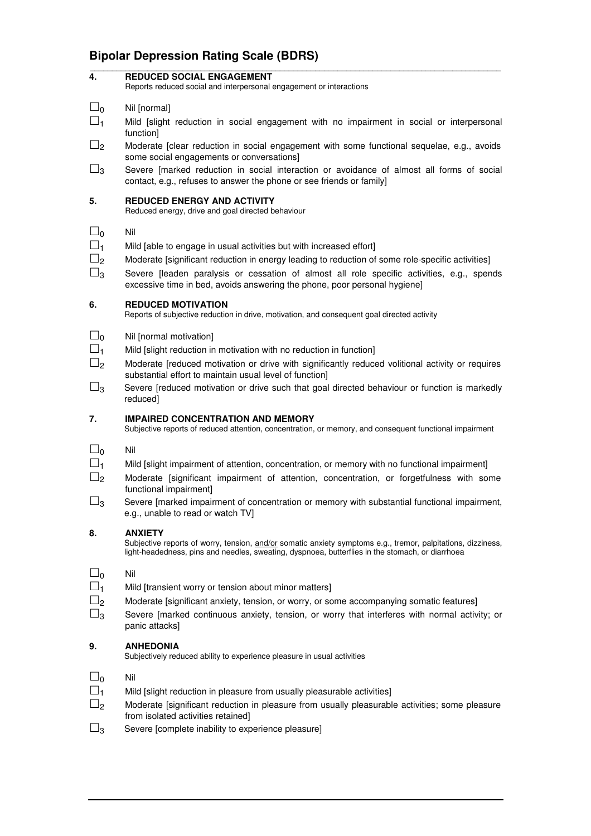# **Bipolar Depression Rating Scale (BDRS)**

| 4.                         | <b>REDUCED SOCIAL ENGAGEMENT</b><br>Reports reduced social and interpersonal engagement or interactions                                                                                                                            |
|----------------------------|------------------------------------------------------------------------------------------------------------------------------------------------------------------------------------------------------------------------------------|
| $\square_0$<br>$\square_1$ | Nil [normal]<br>Mild [slight reduction in social engagement with no impairment in social or interpersonal                                                                                                                          |
| $\square_2$                | function]<br>Moderate [clear reduction in social engagement with some functional sequelae, e.g., avoids<br>some social engagements or conversations]                                                                               |
| $\square_3$                | Severe [marked reduction in social interaction or avoidance of almost all forms of social<br>contact, e.g., refuses to answer the phone or see friends or family]                                                                  |
| 5.                         | <b>REDUCED ENERGY AND ACTIVITY</b><br>Reduced energy, drive and goal directed behaviour                                                                                                                                            |
| $\square_0$                | Nil                                                                                                                                                                                                                                |
| $\square_1$                | Mild [able to engage in usual activities but with increased effort]                                                                                                                                                                |
| $\Box$ 2                   | Moderate [significant reduction in energy leading to reduction of some role-specific activities]                                                                                                                                   |
| $\square_3$                | Severe [leaden paralysis or cessation of almost all role specific activities, e.g., spends<br>excessive time in bed, avoids answering the phone, poor personal hygiene]                                                            |
| 6.                         | <b>REDUCED MOTIVATION</b><br>Reports of subjective reduction in drive, motivation, and consequent goal directed activity                                                                                                           |
| $\square_0$                | Nil [normal motivation]                                                                                                                                                                                                            |
| $\Box_1$                   | Mild [slight reduction in motivation with no reduction in function]                                                                                                                                                                |
| $\sqcup_2$                 | Moderate [reduced motivation or drive with significantly reduced volitional activity or requires<br>substantial effort to maintain usual level of function]                                                                        |
| $\Box_3$                   | Severe [reduced motivation or drive such that goal directed behaviour or function is markedly<br>reduced]                                                                                                                          |
| 7.                         | <b>IMPAIRED CONCENTRATION AND MEMORY</b><br>Subjective reports of reduced attention, concentration, or memory, and consequent functional impairment                                                                                |
| $\square$                  | Nil                                                                                                                                                                                                                                |
| $\square$                  | Mild [slight impairment of attention, concentration, or memory with no functional impairment]                                                                                                                                      |
| $\Box$ <sub>2</sub>        | Moderate [significant impairment of attention, concentration, or forgetfulness with some<br>functional impairment]                                                                                                                 |
| $\Box_3$                   | Severe [marked impairment of concentration or memory with substantial functional impairment,<br>e.g., unable to read or watch TV]                                                                                                  |
| 8.                         | <b>ANXIETY</b><br>Subjective reports of worry, tension, and/or somatic anxiety symptoms e.g., tremor, palpitations, dizziness,<br>light-headedness, pins and needles, sweating, dyspnoea, butterflies in the stomach, or diarrhoea |
| $\sqcup_0$                 | Nil                                                                                                                                                                                                                                |
| $\square_1$                | Mild [transient worry or tension about minor matters]                                                                                                                                                                              |
| $\square$                  | Moderate [significant anxiety, tension, or worry, or some accompanying somatic features]                                                                                                                                           |
| $\square_3$                | Severe [marked continuous anxiety, tension, or worry that interferes with normal activity; or<br>panic attacks]                                                                                                                    |
| 9.                         | <b>ANHEDONIA</b><br>Subjectively reduced ability to experience pleasure in usual activities                                                                                                                                        |
| $\sqcup_0$                 | Nil                                                                                                                                                                                                                                |
| $\Box_1$                   | Mild [slight reduction in pleasure from usually pleasurable activities]                                                                                                                                                            |
| $\square_2$                | Moderate [significant reduction in pleasure from usually pleasurable activities; some pleasure                                                                                                                                     |
| $\Box_3$                   | from isolated activities retained]<br>Severe [complete inability to experience pleasure]                                                                                                                                           |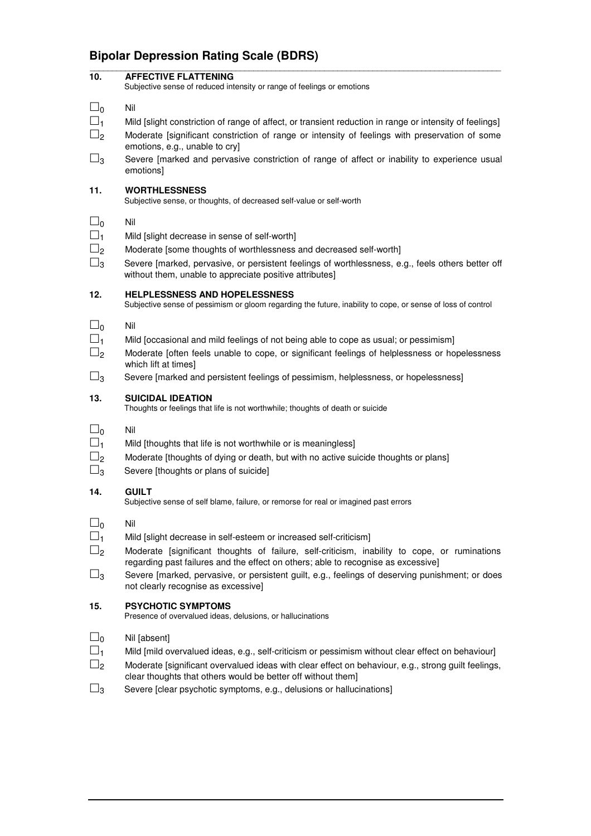# **Bipolar Depression Rating Scale (BDRS)**

| 10.                                                   | <b>AFFECTIVE FLATTENING</b><br>Subjective sense of reduced intensity or range of feelings or emotions                                                                                                                                                                                                                                                                                                   |
|-------------------------------------------------------|---------------------------------------------------------------------------------------------------------------------------------------------------------------------------------------------------------------------------------------------------------------------------------------------------------------------------------------------------------------------------------------------------------|
| $\Box_0$<br>$\square_1$<br>$\square_2$                | Nil<br>Mild [slight constriction of range of affect, or transient reduction in range or intensity of feelings]<br>Moderate [significant constriction of range or intensity of feelings with preservation of some<br>emotions, e.g., unable to cry]                                                                                                                                                      |
| $\square_3$                                           | Severe [marked and pervasive constriction of range of affect or inability to experience usual<br>emotions]                                                                                                                                                                                                                                                                                              |
| 11.                                                   | <b>WORTHLESSNESS</b><br>Subjective sense, or thoughts, of decreased self-value or self-worth                                                                                                                                                                                                                                                                                                            |
| $\square_0$<br>$\square_1$<br>$\square_2$<br>$\Box_3$ | Nil<br>Mild [slight decrease in sense of self-worth]<br>Moderate [some thoughts of worthlessness and decreased self-worth]<br>Severe [marked, pervasive, or persistent feelings of worthlessness, e.g., feels others better off<br>without them, unable to appreciate positive attributes]                                                                                                              |
| 12.                                                   | <b>HELPLESSNESS AND HOPELESSNESS</b><br>Subjective sense of pessimism or gloom regarding the future, inability to cope, or sense of loss of control                                                                                                                                                                                                                                                     |
| $\square_0$<br>$\square_1$<br>$\sqcup_2$<br>$\Box_3$  | Nil<br>Mild [occasional and mild feelings of not being able to cope as usual; or pessimism]<br>Moderate [often feels unable to cope, or significant feelings of helplessness or hopelessness<br>which lift at times]<br>Severe [marked and persistent feelings of pessimism, helplessness, or hopelessness]                                                                                             |
| 13.                                                   | <b>SUICIDAL IDEATION</b><br>Thoughts or feelings that life is not worthwhile; thoughts of death or suicide                                                                                                                                                                                                                                                                                              |
| $\square_0$<br>$\square_1$<br>$\square$<br>$\Box_3$   | Nil<br>Mild [thoughts that life is not worthwhile or is meaningless]<br>Moderate [thoughts of dying or death, but with no active suicide thoughts or plans]<br>Severe [thoughts or plans of suicide]                                                                                                                                                                                                    |
| 14.                                                   | <b>GUILT</b><br>Subjective sense of self blame, failure, or remorse for real or imagined past errors                                                                                                                                                                                                                                                                                                    |
| _  ი<br>$\sqcup_1$<br>$\square_2$<br>$\square_3$      | Nil<br>Mild [slight decrease in self-esteem or increased self-criticism]<br>Moderate [significant thoughts of failure, self-criticism, inability to cope, or ruminations<br>regarding past failures and the effect on others; able to recognise as excessive]<br>Severe [marked, pervasive, or persistent guilt, e.g., feelings of deserving punishment; or does<br>not clearly recognise as excessive] |
| 15.                                                   | <b>PSYCHOTIC SYMPTOMS</b><br>Presence of overvalued ideas, delusions, or hallucinations                                                                                                                                                                                                                                                                                                                 |
| $\Box_0$<br>$\square_1$<br>$\square_2$                | Nil [absent]<br>Mild [mild overvalued ideas, e.g., self-criticism or pessimism without clear effect on behaviour]<br>Moderate [significant overvalued ideas with clear effect on behaviour, e.g., strong guilt feelings,                                                                                                                                                                                |
| $\square_3$                                           | clear thoughts that others would be better off without them]<br>Severe [clear psychotic symptoms, e.g., delusions or hallucinations]                                                                                                                                                                                                                                                                    |

\_\_\_\_\_\_\_\_\_\_\_\_\_\_\_\_\_\_\_\_\_\_\_\_\_\_\_\_\_\_\_\_\_\_\_\_\_\_\_\_\_\_\_\_\_\_\_\_\_\_\_\_\_\_\_\_\_\_\_\_\_\_\_\_\_\_\_\_\_\_\_\_\_\_\_\_\_\_\_\_\_\_\_\_\_\_\_\_\_\_\_\_\_